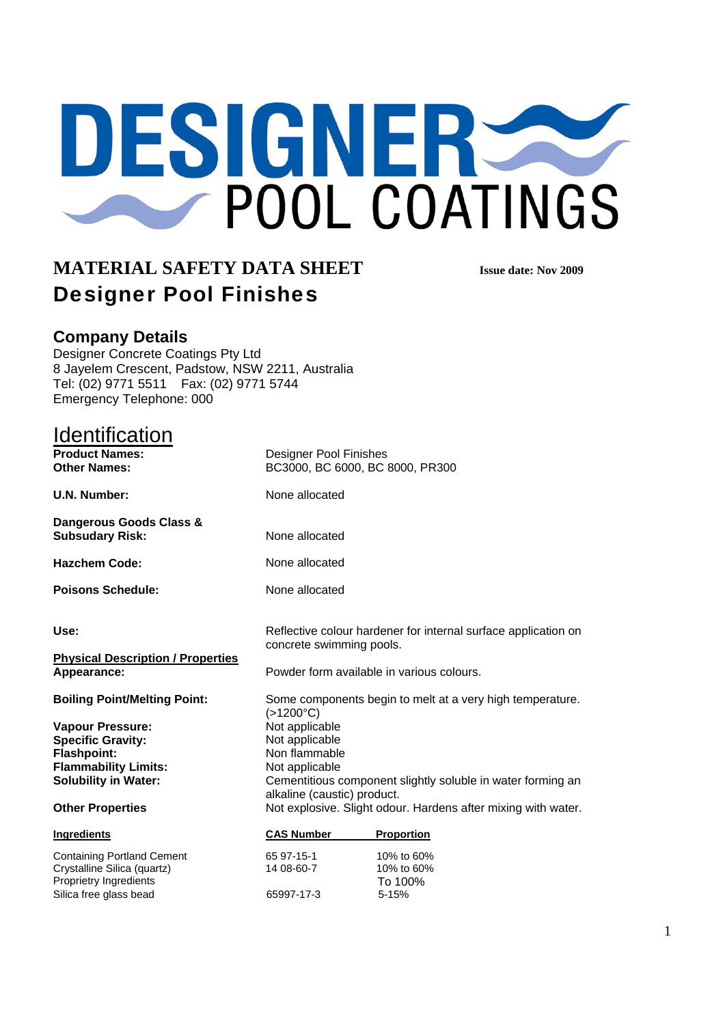# DESIGNERSS POOL COATINGS

## **MATERIAL SAFETY DATA SHEET SEXUAL DESIGNAL SEXUALLY DATA SHEET** Designer Pool Finishes

## **Company Details**

Designer Concrete Coatings Pty Ltd 8 Jayelem Crescent, Padstow, NSW 2211, Australia Tel: (02) 9771 5511 Fax: (02) 9771 5744 Emergency Telephone: 000

Silica free glass bead 65997-17-3 5-15%

| Identification                                    |                                                                                            |            |  |
|---------------------------------------------------|--------------------------------------------------------------------------------------------|------------|--|
| <b>Product Names:</b><br><b>Other Names:</b>      | Designer Pool Finishes<br>BC3000, BC 6000, BC 8000, PR300                                  |            |  |
| <b>U.N. Number:</b>                               | None allocated                                                                             |            |  |
| Dangerous Goods Class &<br><b>Subsudary Risk:</b> | None allocated                                                                             |            |  |
| <b>Hazchem Code:</b>                              | None allocated                                                                             |            |  |
| <b>Poisons Schedule:</b>                          | None allocated                                                                             |            |  |
| Use:                                              | Reflective colour hardener for internal surface application on<br>concrete swimming pools. |            |  |
| <b>Physical Description / Properties</b>          |                                                                                            |            |  |
| Appearance:                                       | Powder form available in various colours.                                                  |            |  |
| <b>Boiling Point/Melting Point:</b>               | Some components begin to melt at a very high temperature.<br>$(>1200^{\circ}C)$            |            |  |
| <b>Vapour Pressure:</b>                           | Not applicable                                                                             |            |  |
| <b>Specific Gravity:</b>                          | Not applicable                                                                             |            |  |
| <b>Flashpoint:</b>                                | Non flammable                                                                              |            |  |
| <b>Flammability Limits:</b>                       | Not applicable                                                                             |            |  |
| <b>Solubility in Water:</b>                       | Cementitious component slightly soluble in water forming an<br>alkaline (caustic) product. |            |  |
| <b>Other Properties</b>                           | Not explosive. Slight odour. Hardens after mixing with water.                              |            |  |
| Ingredients                                       | <b>CAS Number</b>                                                                          | Proportion |  |
| <b>Containing Portland Cement</b>                 | 65 97-15-1                                                                                 | 10% to 60% |  |
| Crystalline Silica (quartz)                       | 14 08-60-7                                                                                 | 10% to 60% |  |
| Proprietry Ingredients                            |                                                                                            | To 100%    |  |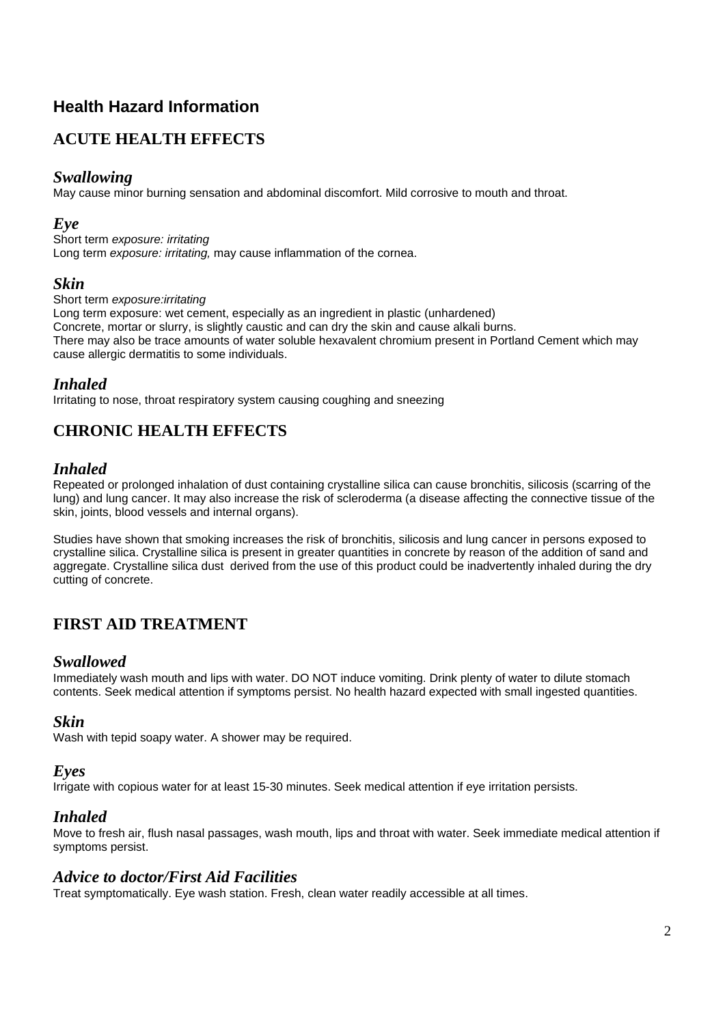## **Health Hazard Information**

## **ACUTE HEALTH EFFECTS**

## *Swallowing*

May cause minor burning sensation and abdominal discomfort. Mild corrosive to mouth and throat.

#### *Eye*

Short term *exposure: irritating*  Long term *exposure: irritating,* may cause inflammation of the cornea.

#### *Skin*

Short term *exposure:irritating* Long term exposure: wet cement, especially as an ingredient in plastic (unhardened) Concrete, mortar or slurry, is slightly caustic and can dry the skin and cause alkali burns. There may also be trace amounts of water soluble hexavalent chromium present in Portland Cement which may cause allergic dermatitis to some individuals.

## *Inhaled*

Irritating to nose, throat respiratory system causing coughing and sneezing

## **CHRONIC HEALTH EFFECTS**

## *Inhaled*

Repeated or prolonged inhalation of dust containing crystalline silica can cause bronchitis, silicosis (scarring of the lung) and lung cancer. It may also increase the risk of scleroderma (a disease affecting the connective tissue of the skin, joints, blood vessels and internal organs).

Studies have shown that smoking increases the risk of bronchitis, silicosis and lung cancer in persons exposed to crystalline silica. Crystalline silica is present in greater quantities in concrete by reason of the addition of sand and aggregate. Crystalline silica dust derived from the use of this product could be inadvertently inhaled during the dry cutting of concrete.

## **FIRST AID TREATMENT**

#### *Swallowed*

Immediately wash mouth and lips with water. DO NOT induce vomiting. Drink plenty of water to dilute stomach contents. Seek medical attention if symptoms persist. No health hazard expected with small ingested quantities.

#### *Skin*

Wash with tepid soapy water. A shower may be required.

#### *Eyes*

Irrigate with copious water for at least 15-30 minutes. Seek medical attention if eye irritation persists.

#### *Inhaled*

Move to fresh air, flush nasal passages, wash mouth, lips and throat with water. Seek immediate medical attention if symptoms persist.

#### *Advice to doctor/First Aid Facilities*

Treat symptomatically. Eye wash station. Fresh, clean water readily accessible at all times.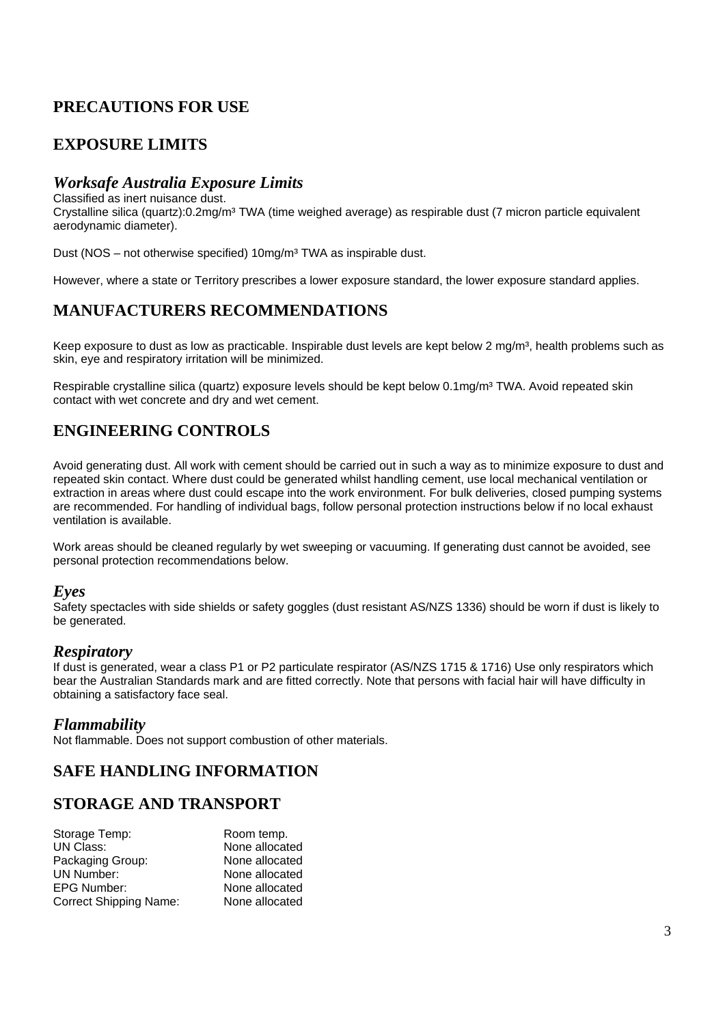## **PRECAUTIONS FOR USE**

## **EXPOSURE LIMITS**

## *Worksafe Australia Exposure Limits*

Classified as inert nuisance dust.

Crystalline silica (quartz):0.2mg/m<sup>3</sup> TWA (time weighed average) as respirable dust (7 micron particle equivalent aerodynamic diameter).

Dust (NOS – not otherwise specified) 10mg/m<sup>3</sup> TWA as inspirable dust.

However, where a state or Territory prescribes a lower exposure standard, the lower exposure standard applies.

## **MANUFACTURERS RECOMMENDATIONS**

Keep exposure to dust as low as practicable. Inspirable dust levels are kept below 2 mg/m<sup>3</sup>, health problems such as skin, eye and respiratory irritation will be minimized.

Respirable crystalline silica (quartz) exposure levels should be kept below 0.1mg/m<sup>3</sup> TWA. Avoid repeated skin contact with wet concrete and dry and wet cement.

## **ENGINEERING CONTROLS**

Avoid generating dust. All work with cement should be carried out in such a way as to minimize exposure to dust and repeated skin contact. Where dust could be generated whilst handling cement, use local mechanical ventilation or extraction in areas where dust could escape into the work environment. For bulk deliveries, closed pumping systems are recommended. For handling of individual bags, follow personal protection instructions below if no local exhaust ventilation is available.

Work areas should be cleaned regularly by wet sweeping or vacuuming. If generating dust cannot be avoided, see personal protection recommendations below.

#### *Eyes*

Safety spectacles with side shields or safety goggles (dust resistant AS/NZS 1336) should be worn if dust is likely to be generated.

#### *Respiratory*

If dust is generated, wear a class P1 or P2 particulate respirator (AS/NZS 1715 & 1716) Use only respirators which bear the Australian Standards mark and are fitted correctly. Note that persons with facial hair will have difficulty in obtaining a satisfactory face seal.

#### *Flammability*

Not flammable. Does not support combustion of other materials.

## **SAFE HANDLING INFORMATION**

## **STORAGE AND TRANSPORT**

| Storage Temp:                 | Room temp.     |
|-------------------------------|----------------|
| <b>UN Class:</b>              | None allocated |
| Packaging Group:              | None allocated |
| UN Number:                    | None allocated |
| <b>EPG Number:</b>            | None allocated |
| <b>Correct Shipping Name:</b> | None allocated |